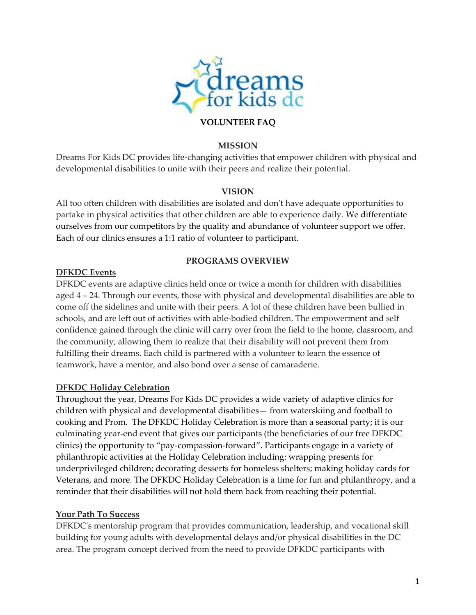

#### **VOLUNTEER FAQ**

#### **MISSION**

Dreams For Kids DC provides life-changing activities that empower children with physical and developmental disabilities to unite with their peers and realize their potential.

#### **VISION**

All too often children with disabilities are isolated and don't have adequate opportunities to partake in physical activities that other children are able to experience daily. We differentiate ourselves from our competitors by the quality and abundance of volunteer support we offer. Each of our clinics ensures a 1:1 ratio of volunteer to participant.

#### **PROGRAMS OVERVIEW**

#### **DFKDC Events**

DFKDC events are adaptive clinics held once or twice a month for children with disabilities aged 4 – 24. Through our events, those with physical and developmental disabilities are able to come off the sidelines and unite with their peers. A lot of these children have been bullied in schools, and are left out of activities with able-bodied children. The empowerment and self confidence gained through the clinic will carry over from the field to the home, classroom, and the community, allowing them to realize that their disability will not prevent them from fulfilling their dreams. Each child is partnered with a volunteer to learn the essence of teamwork, have a mentor, and also bond over a sense of camaraderie.

## **DFKDC Holiday Celebration**

Throughout the year, Dreams For Kids DC provides a wide variety of adaptive clinics for children with physical and developmental disabilities— from waterskiing and football to cooking and Prom. The DFKDC Holiday Celebration is more than a seasonal party; it is our culminating year-end event that gives our participants (the beneficiaries of our free DFKDC clinics) the opportunity to "pay-compassion-forward". Participants engage in a variety of philanthropic activities at the Holiday Celebration including: wrapping presents for underprivileged children; decorating desserts for homeless shelters; making holiday cards for Veterans, and more. The DFKDC Holiday Celebration is a time for fun and philanthropy, and a reminder that their disabilities will not hold them back from reaching their potential.

#### **Your Path To Success**

DFKDC's mentorship program that provides communication, leadership, and vocational skill building for young adults with developmental delays and/or physical disabilities in the DC area. The program concept derived from the need to provide DFKDC participants with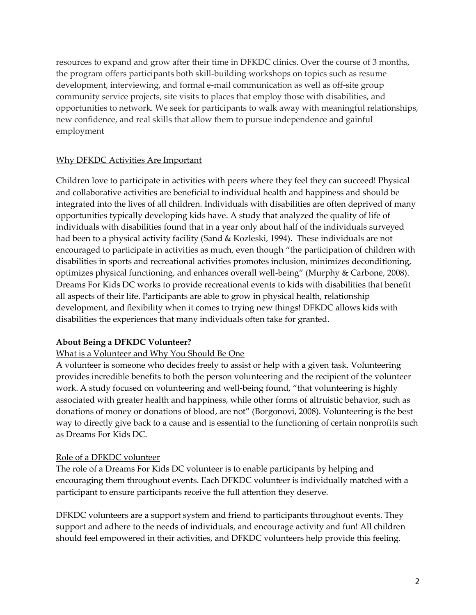resources to expand and grow after their time in DFKDC clinics. Over the course of 3 months, the program offers participants both skill-building workshops on topics such as resume development, interviewing, and formal e-mail communication as well as off-site group community service projects, site visits to places that employ those with disabilities, and opportunities to network. We seek for participants to walk away with meaningful relationships, new confidence, and real skills that allow them to pursue independence and gainful employment

## Why DFKDC Activities Are Important

Children love to participate in activities with peers where they feel they can succeed! Physical and collaborative activities are beneficial to individual health and happiness and should be integrated into the lives of all children. Individuals with disabilities are often deprived of many opportunities typically developing kids have. A study that analyzed the quality of life of individuals with disabilities found that in a year only about half of the individuals surveyed had been to a physical activity facility (Sand & Kozleski, 1994). These individuals are not encouraged to participate in activities as much, even though "the participation of children with disabilities in sports and recreational activities promotes inclusion, minimizes deconditioning, optimizes physical functioning, and enhances overall well-being" (Murphy & Carbone, 2008). Dreams For Kids DC works to provide recreational events to kids with disabilities that benefit all aspects of their life. Participants are able to grow in physical health, relationship development, and flexibility when it comes to trying new things! DFKDC allows kids with disabilities the experiences that many individuals often take for granted.

# **About Being a DFKDC Volunteer?**

## What is a Volunteer and Why You Should Be One

A volunteer is someone who decides freely to assist or help with a given task. Volunteering provides incredible benefits to both the person volunteering and the recipient of the volunteer work. A study focused on volunteering and well-being found, "that volunteering is highly associated with greater health and happiness, while other forms of altruistic behavior, such as donations of money or donations of blood, are not" (Borgonovi, 2008). Volunteering is the best way to directly give back to a cause and is essential to the functioning of certain nonprofits such as Dreams For Kids DC.

## Role of a DFKDC volunteer

The role of a Dreams For Kids DC volunteer is to enable participants by helping and encouraging them throughout events. Each DFKDC volunteer is individually matched with a participant to ensure participants receive the full attention they deserve.

DFKDC volunteers are a support system and friend to participants throughout events. They support and adhere to the needs of individuals, and encourage activity and fun! All children should feel empowered in their activities, and DFKDC volunteers help provide this feeling.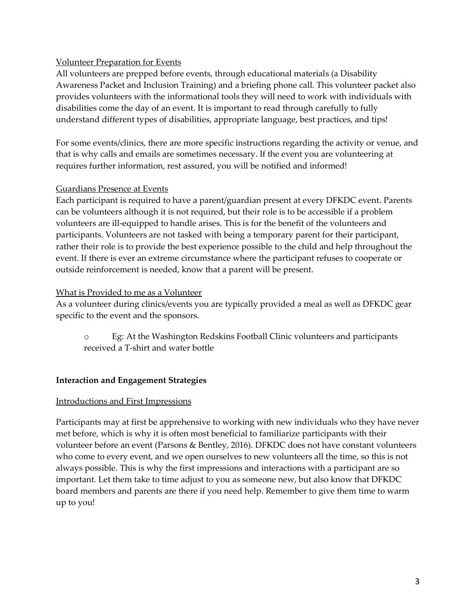## Volunteer Preparation for Events

All volunteers are prepped before events, through educational materials (a Disability Awareness Packet and Inclusion Training) and a briefing phone call. This volunteer packet also provides volunteers with the informational tools they will need to work with individuals with disabilities come the day of an event. It is important to read through carefully to fully understand different types of disabilities, appropriate language, best practices, and tips!

For some events/clinics, there are more specific instructions regarding the activity or venue, and that is why calls and emails are sometimes necessary. If the event you are volunteering at requires further information, rest assured, you will be notified and informed!

# Guardians Presence at Events

Each participant is required to have a parent/guardian present at every DFKDC event. Parents can be volunteers although it is not required, but their role is to be accessible if a problem volunteers are ill-equipped to handle arises. This is for the benefit of the volunteers and participants. Volunteers are not tasked with being a temporary parent for their participant, rather their role is to provide the best experience possible to the child and help throughout the event. If there is ever an extreme circumstance where the participant refuses to cooperate or outside reinforcement is needed, know that a parent will be present.

## What is Provided to me as a Volunteer

As a volunteer during clinics/events you are typically provided a meal as well as DFKDC gear specific to the event and the sponsors.

o Eg: At the Washington Redskins Football Clinic volunteers and participants received a T-shirt and water bottle

## **Interaction and Engagement Strategies**

## Introductions and First Impressions

Participants may at first be apprehensive to working with new individuals who they have never met before, which is why it is often most beneficial to familiarize participants with their volunteer before an event (Parsons & Bentley, 2016). DFKDC does not have constant volunteers who come to every event, and we open ourselves to new volunteers all the time, so this is not always possible. This is why the first impressions and interactions with a participant are so important. Let them take to time adjust to you as someone new, but also know that DFKDC board members and parents are there if you need help. Remember to give them time to warm up to you!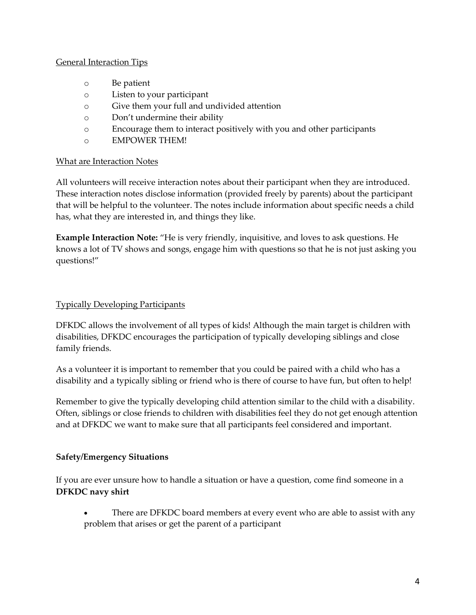## General Interaction Tips

- o Be patient
- o Listen to your participant
- o Give them your full and undivided attention
- o Don't undermine their ability
- o Encourage them to interact positively with you and other participants
- o EMPOWER THEM!

## What are Interaction Notes

All volunteers will receive interaction notes about their participant when they are introduced. These interaction notes disclose information (provided freely by parents) about the participant that will be helpful to the volunteer. The notes include information about specific needs a child has, what they are interested in, and things they like.

**Example Interaction Note:** "He is very friendly, inquisitive, and loves to ask questions. He knows a lot of TV shows and songs, engage him with questions so that he is not just asking you questions!"

# Typically Developing Participants

DFKDC allows the involvement of all types of kids! Although the main target is children with disabilities, DFKDC encourages the participation of typically developing siblings and close family friends.

As a volunteer it is important to remember that you could be paired with a child who has a disability and a typically sibling or friend who is there of course to have fun, but often to help!

Remember to give the typically developing child attention similar to the child with a disability. Often, siblings or close friends to children with disabilities feel they do not get enough attention and at DFKDC we want to make sure that all participants feel considered and important.

## **Safety/Emergency Situations**

If you are ever unsure how to handle a situation or have a question, come find someone in a **DFKDC navy shirt**

 There are DFKDC board members at every event who are able to assist with any problem that arises or get the parent of a participant